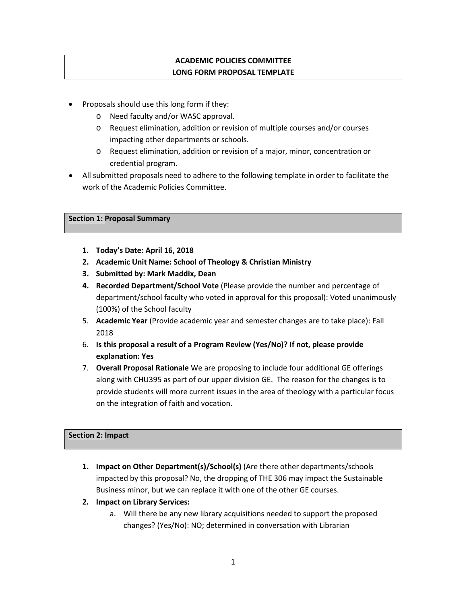# **ACADEMIC POLICIES COMMITTEE LONG FORM PROPOSAL TEMPLATE**

- Proposals should use this long form if they:
	- o Need faculty and/or WASC approval.
	- o Request elimination, addition or revision of multiple courses and/or courses impacting other departments or schools.
	- o Request elimination, addition or revision of a major, minor, concentration or credential program.
- All submitted proposals need to adhere to the following template in order to facilitate the work of the Academic Policies Committee.

#### **Section 1: Proposal Summary**

- **1. Today's Date: April 16, 2018**
- **2. Academic Unit Name: School of Theology & Christian Ministry**
- **3. Submitted by: Mark Maddix, Dean**
- **4. Recorded Department/School Vote** (Please provide the number and percentage of department/school faculty who voted in approval for this proposal): Voted unanimously (100%) of the School faculty
- 5. **Academic Year** (Provide academic year and semester changes are to take place): Fall 2018
- 6. **Is this proposal a result of a Program Review (Yes/No)? If not, please provide explanation: Yes**
- 7. **Overall Proposal Rationale** We are proposing to include four additional GE offerings along with CHU395 as part of our upper division GE. The reason for the changes is to provide students will more current issues in the area of theology with a particular focus on the integration of faith and vocation.

#### **Section 2: Impact**

- **1. Impact on Other Department(s)/School(s)** (Are there other departments/schools impacted by this proposal? No, the dropping of THE 306 may impact the Sustainable Business minor, but we can replace it with one of the other GE courses.
- **2. Impact on Library Services:**
	- a. Will there be any new library acquisitions needed to support the proposed changes? (Yes/No): NO; determined in conversation with Librarian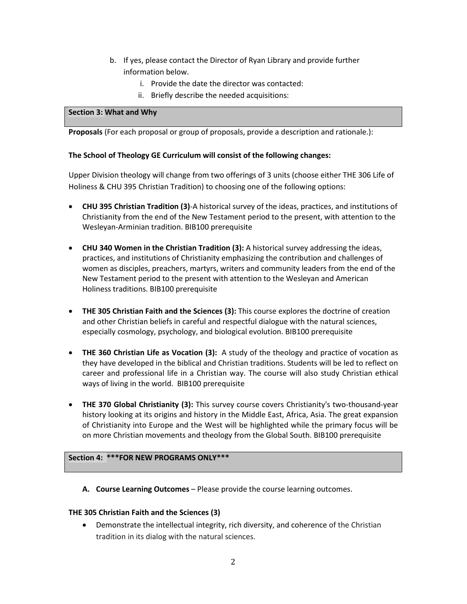- b. If yes, please contact the Director of Ryan Library and provide further information below.
	- i. Provide the date the director was contacted:
	- ii. Briefly describe the needed acquisitions:

#### **Section 3: What and Why**

**Proposals** (For each proposal or group of proposals, provide a description and rationale.):

#### **The School of Theology GE Curriculum will consist of the following changes:**

Upper Division theology will change from two offerings of 3 units (choose either THE 306 Life of Holiness & CHU 395 Christian Tradition) to choosing one of the following options:

- **CHU 395 Christian Tradition (3)**-A historical survey of the ideas, practices, and institutions of Christianity from the end of the New Testament period to the present, with attention to the Wesleyan-Arminian tradition. BIB100 prerequisite
- **CHU 340 Women in the Christian Tradition (3):** A historical survey addressing the ideas, practices, and institutions of Christianity emphasizing the contribution and challenges of women as disciples, preachers, martyrs, writers and community leaders from the end of the New Testament period to the present with attention to the Wesleyan and American Holiness traditions. BIB100 prerequisite
- **THE 305 Christian Faith and the Sciences (3):** This course explores the doctrine of creation and other Christian beliefs in careful and respectful dialogue with the natural sciences, especially cosmology, psychology, and biological evolution. BIB100 prerequisite
- **THE 360 Christian Life as Vocation (3):** A study of the theology and practice of vocation as they have developed in the biblical and Christian traditions. Students will be led to reflect on career and professional life in a Christian way. The course will also study Christian ethical ways of living in the world. BIB100 prerequisite
- **THE 370 Global Christianity (3):** This survey course covers Christianity's two-thousand-year history looking at its origins and history in the Middle East, Africa, Asia. The great expansion of Christianity into Europe and the West will be highlighted while the primary focus will be on more Christian movements and theology from the Global South. BIB100 prerequisite

#### **Section 4: \*\*\*FOR NEW PROGRAMS ONLY\*\*\***

**A. Course Learning Outcomes** – Please provide the course learning outcomes.

#### **THE 305 Christian Faith and the Sciences (3)**

• Demonstrate the intellectual integrity, rich diversity, and coherence of the Christian tradition in its dialog with the natural sciences.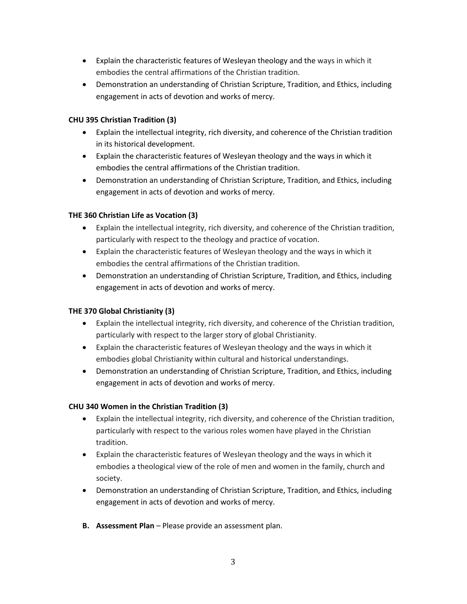- Explain the characteristic features of Wesleyan theology and the ways in which it embodies the central affirmations of the Christian tradition.
- Demonstration an understanding of Christian Scripture, Tradition, and Ethics, including engagement in acts of devotion and works of mercy.

## **CHU 395 Christian Tradition (3)**

- Explain the intellectual integrity, rich diversity, and coherence of the Christian tradition in its historical development.
- Explain the characteristic features of Wesleyan theology and the ways in which it embodies the central affirmations of the Christian tradition.
- Demonstration an understanding of Christian Scripture, Tradition, and Ethics, including engagement in acts of devotion and works of mercy.

## **THE 360 Christian Life as Vocation (3)**

- Explain the intellectual integrity, rich diversity, and coherence of the Christian tradition, particularly with respect to the theology and practice of vocation.
- Explain the characteristic features of Wesleyan theology and the ways in which it embodies the central affirmations of the Christian tradition.
- Demonstration an understanding of Christian Scripture, Tradition, and Ethics, including engagement in acts of devotion and works of mercy.

## **THE 370 Global Christianity (3)**

- Explain the intellectual integrity, rich diversity, and coherence of the Christian tradition, particularly with respect to the larger story of global Christianity.
- Explain the characteristic features of Wesleyan theology and the ways in which it embodies global Christianity within cultural and historical understandings.
- Demonstration an understanding of Christian Scripture, Tradition, and Ethics, including engagement in acts of devotion and works of mercy.

## **CHU 340 Women in the Christian Tradition (3)**

- Explain the intellectual integrity, rich diversity, and coherence of the Christian tradition, particularly with respect to the various roles women have played in the Christian tradition.
- Explain the characteristic features of Wesleyan theology and the ways in which it embodies a theological view of the role of men and women in the family, church and society.
- Demonstration an understanding of Christian Scripture, Tradition, and Ethics, including engagement in acts of devotion and works of mercy.
- **B. Assessment Plan** Please provide an assessment plan.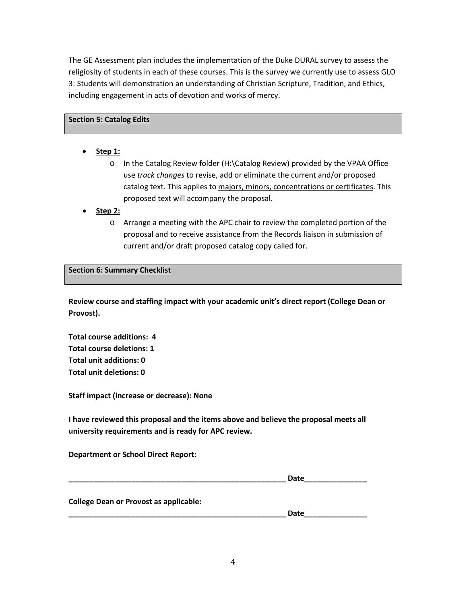The GE Assessment plan includes the implementation of the Duke DURAL survey to assess the religiosity of students in each of these courses. This is the survey we currently use to assess GLO 3: Students will demonstration an understanding of Christian Scripture, Tradition, and Ethics, including engagement in acts of devotion and works of mercy.

#### **Section 5: Catalog Edits**

- **Step 1:**
	- o In the Catalog Review folder (H:\Catalog Review) provided by the VPAA Office use *track changes* to revise, add or eliminate the current and/or proposed catalog text. This applies to majors, minors, concentrations or certificates. This proposed text will accompany the proposal.
- **Step 2:**
	- o Arrange a meeting with the APC chair to review the completed portion of the proposal and to receive assistance from the Records liaison in submission of current and/or draft proposed catalog copy called for.

#### **Section 6: Summary Checklist**

**Review course and staffing impact with your academic unit's direct report (College Dean or Provost).**

**Total course additions: 4 Total course deletions: 1 Total unit additions: 0 Total unit deletions: 0**

**Staff impact (increase or decrease): None**

**I have reviewed this proposal and the items above and believe the proposal meets all university requirements and is ready for APC review.**

#### **Department or School Direct Report:**

|                                               | Date |
|-----------------------------------------------|------|
|                                               |      |
| <b>College Dean or Provost as applicable:</b> |      |
|                                               | Date |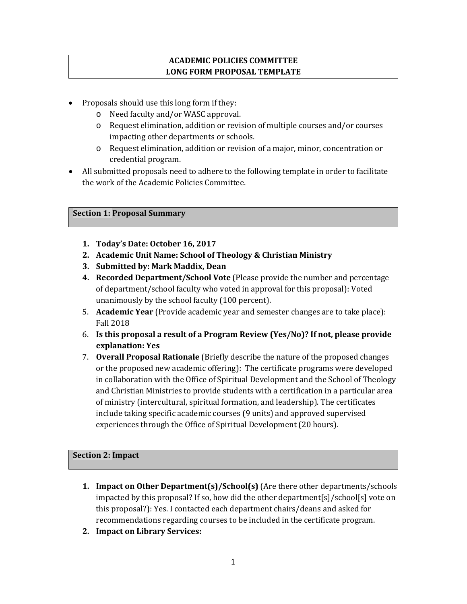# **ACADEMIC POLICIES COMMITTEE LONG FORM PROPOSAL TEMPLATE**

- Proposals should use this long form if they:
	- o Need faculty and/or WASC approval.
	- o Request elimination, addition or revision of multiple courses and/or courses impacting other departments or schools.
	- o Request elimination, addition or revision of a major, minor, concentration or credential program.
- All submitted proposals need to adhere to the following template in order to facilitate the work of the Academic Policies Committee.

## **Section 1: Proposal Summary**

- **1. Today's Date: October 16, 2017**
- **2. Academic Unit Name: School of Theology & Christian Ministry**
- **3. Submitted by: Mark Maddix, Dean**
- **4. Recorded Department/School Vote** (Please provide the number and percentage of department/school faculty who voted in approval for this proposal): Voted unanimously by the school faculty (100 percent).
- 5. **Academic Year** (Provide academic year and semester changes are to take place): Fall 2018
- 6. **Is this proposal a result of a Program Review (Yes/No)? If not, please provide explanation: Yes**
- 7. **Overall Proposal Rationale** (Briefly describe the nature of the proposed changes or the proposed new academic offering): The certificate programs were developed in collaboration with the Office of Spiritual Development and the School of Theology and Christian Ministries to provide students with a certification in a particular area of ministry (intercultural, spiritual formation, and leadership). The certificates include taking specific academic courses (9 units) and approved supervised experiences through the Office of Spiritual Development (20 hours).

## **Section 2: Impact**

- **1. Impact on Other Department(s)/School(s)** (Are there other departments/schools impacted by this proposal? If so, how did the other department[s]/school[s] vote on this proposal?): Yes. I contacted each department chairs/deans and asked for recommendations regarding courses to be included in the certificate program.
- **2. Impact on Library Services:**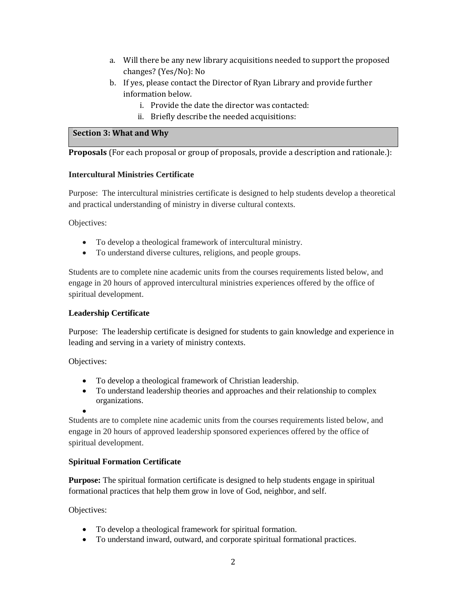- a. Will there be any new library acquisitions needed to support the proposed changes? (Yes/No): No
- b. If yes, please contact the Director of Ryan Library and provide further information below.
	- i. Provide the date the director was contacted:
	- ii. Briefly describe the needed acquisitions:

### **Section 3: What and Why**

**Proposals** (For each proposal or group of proposals, provide a description and rationale.):

### **Intercultural Ministries Certificate**

Purpose: The intercultural ministries certificate is designed to help students develop a theoretical and practical understanding of ministry in diverse cultural contexts.

Objectives:

- To develop a theological framework of intercultural ministry.
- To understand diverse cultures, religions, and people groups.

Students are to complete nine academic units from the courses requirements listed below, and engage in 20 hours of approved intercultural ministries experiences offered by the office of spiritual development.

## **Leadership Certificate**

Purpose: The leadership certificate is designed for students to gain knowledge and experience in leading and serving in a variety of ministry contexts.

Objectives:

- To develop a theological framework of Christian leadership.
- To understand leadership theories and approaches and their relationship to complex organizations.

•

Students are to complete nine academic units from the courses requirements listed below, and engage in 20 hours of approved leadership sponsored experiences offered by the office of spiritual development.

## **Spiritual Formation Certificate**

**Purpose:** The spiritual formation certificate is designed to help students engage in spiritual formational practices that help them grow in love of God, neighbor, and self.

Objectives:

- To develop a theological framework for spiritual formation.
- To understand inward, outward, and corporate spiritual formational practices.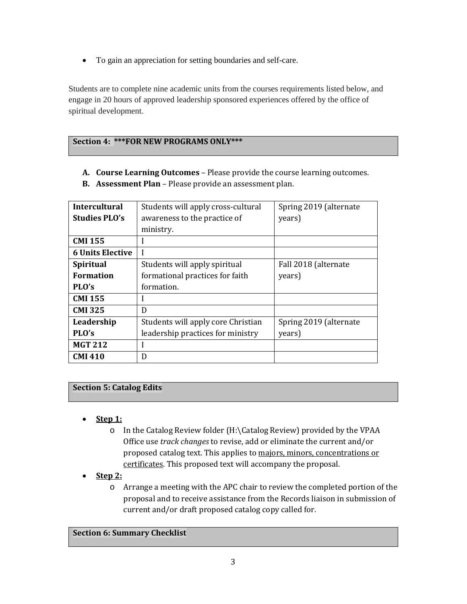• To gain an appreciation for setting boundaries and self-care.

Students are to complete nine academic units from the courses requirements listed below, and engage in 20 hours of approved leadership sponsored experiences offered by the office of spiritual development.

## **Section 4: \*\*\*FOR NEW PROGRAMS ONLY\*\*\***

**A. Course Learning Outcomes** – Please provide the course learning outcomes.

| <b>Intercultural</b>    | Students will apply cross-cultural | Spring 2019 (alternate |
|-------------------------|------------------------------------|------------------------|
| <b>Studies PLO's</b>    | awareness to the practice of       | years)                 |
|                         | ministry.                          |                        |
| <b>CMI 155</b>          | ш                                  |                        |
| <b>6 Units Elective</b> |                                    |                        |
| <b>Spiritual</b>        | Students will apply spiritual      | Fall 2018 (alternate   |
| <b>Formation</b>        | formational practices for faith    | years)                 |
| PLO's                   | formation.                         |                        |
| <b>CMI 155</b>          |                                    |                        |
| <b>CMI 325</b>          | D                                  |                        |
| Leadership              | Students will apply core Christian | Spring 2019 (alternate |
| PLO's                   | leadership practices for ministry  | years)                 |
| <b>MGT 212</b>          |                                    |                        |
| <b>CMI 410</b>          | D                                  |                        |

**B. Assessment Plan** – Please provide an assessment plan.

## **Section 5: Catalog Edits**

- **Step 1:**
	- o In the Catalog Review folder (H:\Catalog Review) provided by the VPAA Office use *track changes* to revise, add or eliminate the current and/or proposed catalog text. This applies to majors, minors, concentrations or certificates. This proposed text will accompany the proposal.
- **Step 2:**
	- o Arrange a meeting with the APC chair to review the completed portion of the proposal and to receive assistance from the Records liaison in submission of current and/or draft proposed catalog copy called for.

### **Section 6: Summary Checklist**